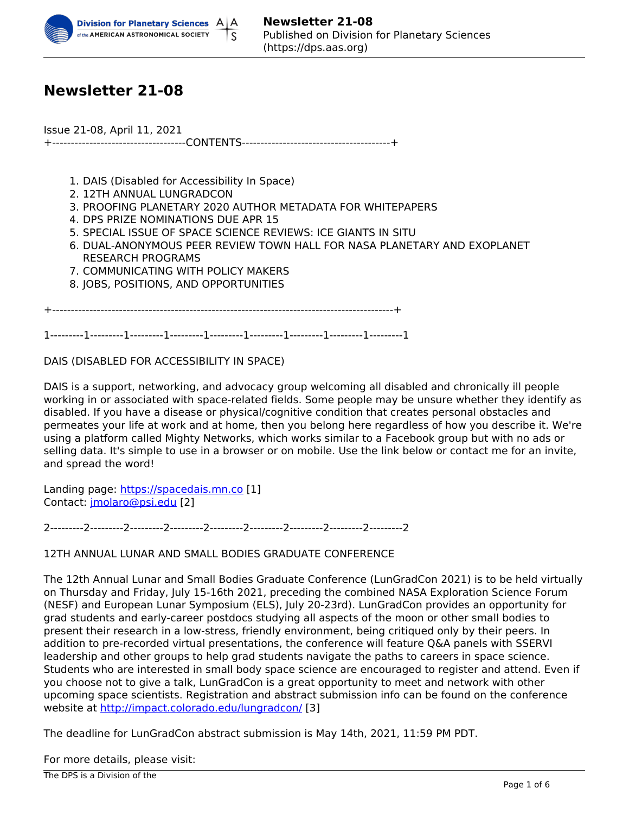

# **Newsletter 21-08**

Issue 21-08, April 11, 2021 +------------------------------------CONTENTS----------------------------------------+

- 1. DAIS (Disabled for Accessibility In Space)
- 2. 12TH ANNUAL LUNGRADCON
- 3. PROOFING PLANETARY 2020 AUTHOR METADATA FOR WHITEPAPERS
- 4. DPS PRIZE NOMINATIONS DUE APR 15
- 5. SPECIAL ISSUE OF SPACE SCIENCE REVIEWS: ICE GIANTS IN SITU
- 6. DUAL-ANONYMOUS PEER REVIEW TOWN HALL FOR NASA PLANETARY AND EXOPLANET RESEARCH PROGRAMS
- 7. COMMUNICATING WITH POLICY MAKERS
- 8. JOBS, POSITIONS, AND OPPORTUNITIES

+--------------------------------------------------------------------------------------------+

1---------1---------1---------1---------1---------1---------1---------1---------1---------1

DAIS (DISABLED FOR ACCESSIBILITY IN SPACE)

DAIS is a support, networking, and advocacy group welcoming all disabled and chronically ill people working in or associated with space-related fields. Some people may be unsure whether they identify as disabled. If you have a disease or physical/cognitive condition that creates personal obstacles and permeates your life at work and at home, then you belong here regardless of how you describe it. We're using a platform called Mighty Networks, which works similar to a Facebook group but with no ads or selling data. It's simple to use in a browser or on mobile. Use the link below or contact me for an invite, and spread the word!

Landing page: [https://spacedais.mn.co](https://gcc02.safelinks.protection.outlook.com/?url=https%3A%2F%2Fspacedais.mn.co%2F&data=04%7C01%7Ccatherine.gosmeyer%40nasa.gov%7C57e1fd3d377348697e8208d8fd4d5bb5%7C7005d45845be48ae8140d43da96dd17b%7C0%7C0%7C637537855995956758%7CUnknown%7CTWFpbGZsb3d8eyJWIjoiMC4wLjAwMDAiLCJQIjoiV2luMzIiLCJBTiI6Ik1haWwiLCJXVCI6Mn0%3D%7C1000&sdata=w5%2B8a7xPbdqn%2FOaEYqedOC95%2Fqu5OuD%2FAVcgZoxnEis%3D&reserved=0) [1] Contact: jmolaro@psi.edu [2]

2---------2---------2---------2---------2---------2---------2---------2---------2---------2

12TH ANNUAL LUNAR AND SMALL BODIES GRADUATE CONFERENCE

The 12th Annual Lunar and Small Bodies Graduate Conference (LunGradCon 2021) is to be held virtually on Thursday and Friday, July 15-16th 2021, preceding the combined NASA Exploration Science Forum (NESF) and European Lunar Symposium (ELS), July 20-23rd). LunGradCon provides an opportunity for grad students and early-career postdocs studying all aspects of the moon or other small bodies to present their research in a low-stress, friendly environment, being critiqued only by their peers. In addition to pre-recorded virtual presentations, the conference will feature Q&A panels with SSERVI leadership and other groups to help grad students navigate the paths to careers in space science. Students who are interested in small body space science are encouraged to register and attend. Even if you choose not to give a talk, LunGradCon is a great opportunity to meet and network with other upcoming space scientists. Registration and abstract submission info can be found on the conference website at http://impact.colorado.edu/lungradcon/ [3]

The deadline for LunGradCon abstract submission is May 14th, 2021, 11:59 PM PDT.

For more details, please visit: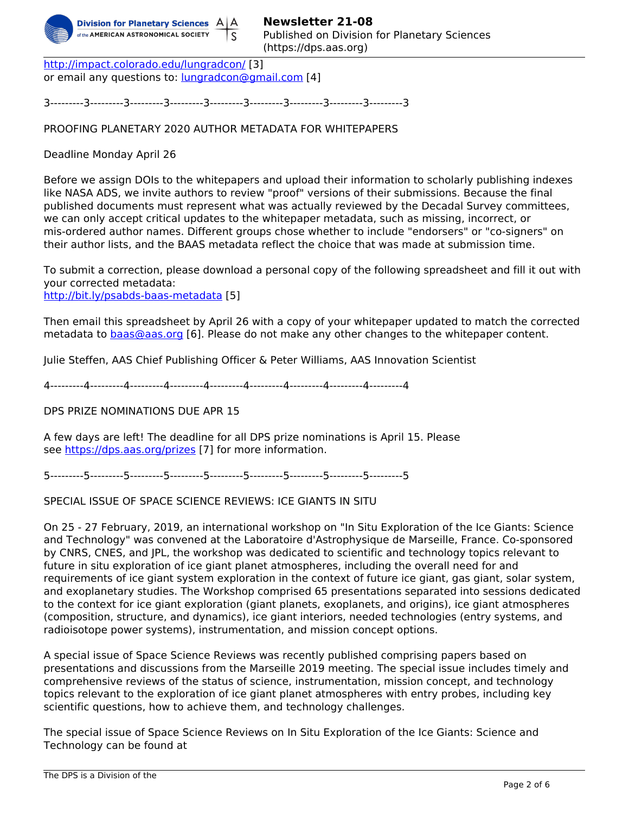

http://impact.colorado.edu/lungradcon/ [3] or email any questions to: <u>lungradcon@gmail.com</u> [4]

3---------3---------3---------3---------3---------3---------3---------3---------3---------3

PROOFING PLANETARY 2020 AUTHOR METADATA FOR WHITEPAPERS

Deadline Monday April 26

Before we assign DOIs to the whitepapers and upload their information to scholarly publishing indexes like NASA ADS, we invite authors to review "proof" versions of their submissions. Because the final published documents must represent what was actually reviewed by the Decadal Survey committees, we can only accept critical updates to the whitepaper metadata, such as missing, incorrect, or mis-ordered author names. Different groups chose whether to include "endorsers" or "co-signers" on their author lists, and the BAAS metadata reflect the choice that was made at submission time.

To submit a correction, please download a personal copy of the following spreadsheet and fill it out with your corrected metadata:

http://bit.ly/psabds-baas-metadata [5]

Then email this spreadsheet by April 26 with a copy of your whitepaper updated to match the corrected metadata to **baas@aas.org** [6]. Please do not make any other changes to the whitepaper content.

Julie Steffen, AAS Chief Publishing Officer & Peter Williams, AAS Innovation Scientist

4---------4---------4---------4---------4---------4---------4---------4---------4---------4

DPS PRIZE NOMINATIONS DUE APR 15

A few days are left! The deadline for all DPS prize nominations is April 15. Please see https://dps.aas.org/prizes [7] for more information.

5---------5---------5---------5---------5---------5---------5---------5---------5---------5

SPECIAL ISSUE OF SPACE SCIENCE REVIEWS: ICE GIANTS IN SITU

On 25 - 27 February, 2019, an international workshop on "In Situ Exploration of the Ice Giants: Science and Technology" was convened at the Laboratoire d'Astrophysique de Marseille, France. Co-sponsored by CNRS, CNES, and JPL, the workshop was dedicated to scientific and technology topics relevant to future in situ exploration of ice giant planet atmospheres, including the overall need for and requirements of ice giant system exploration in the context of future ice giant, gas giant, solar system, and exoplanetary studies. The Workshop comprised 65 presentations separated into sessions dedicated to the context for ice giant exploration (giant planets, exoplanets, and origins), ice giant atmospheres (composition, structure, and dynamics), ice giant interiors, needed technologies (entry systems, and radioisotope power systems), instrumentation, and mission concept options.

A special issue of Space Science Reviews was recently published comprising papers based on presentations and discussions from the Marseille 2019 meeting. The special issue includes timely and comprehensive reviews of the status of science, instrumentation, mission concept, and technology topics relevant to the exploration of ice giant planet atmospheres with entry probes, including key scientific questions, how to achieve them, and technology challenges.

The special issue of Space Science Reviews on In Situ Exploration of the Ice Giants: Science and Technology can be found at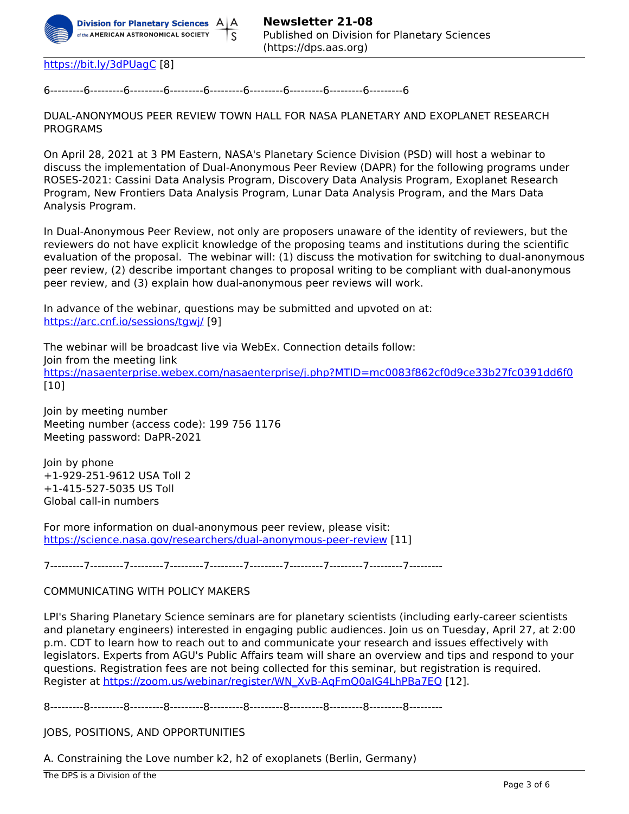

https://bit.ly/3dPUagC [8]

6---------6---------6---------6---------6---------6---------6---------6---------6---------6

DUAL-ANONYMOUS PEER REVIEW TOWN HALL FOR NASA PLANETARY AND EXOPLANET RESEARCH PROGRAMS

On April 28, 2021 at 3 PM Eastern, NASA's Planetary Science Division (PSD) will host a webinar to discuss the implementation of Dual-Anonymous Peer Review (DAPR) for the following programs under ROSES-2021: Cassini Data Analysis Program, Discovery Data Analysis Program, Exoplanet Research Program, New Frontiers Data Analysis Program, Lunar Data Analysis Program, and the Mars Data Analysis Program.

In Dual-Anonymous Peer Review, not only are proposers unaware of the identity of reviewers, but the reviewers do not have explicit knowledge of the proposing teams and institutions during the scientific evaluation of the proposal. The webinar will: (1) discuss the motivation for switching to dual-anonymous peer review, (2) describe important changes to proposal writing to be compliant with dual-anonymous peer review, and (3) explain how dual-anonymous peer reviews will work.

In advance of the webinar, questions may be submitted and upvoted on at: https://arc.cnf.io/sessions/tgwi/ [9]

The webinar will be broadcast live via WebEx. Connection details follow: Join from the meeting link https://nasaenterprise.webex.com/nasaenterprise/j.php?MTID=mc0083f862cf0d9ce33b27fc0391dd6f0 [10]

Join by meeting number Meeting number (access code): 199 756 1176 Meeting password: DaPR-2021

Join by phone +1-929-251-9612 USA Toll 2 +1-415-527-5035 US Toll Global call-in numbers

For more information on dual-anonymous peer review, please visit: https://science.nasa.gov/researchers/dual-anonymous-peer-review [11]

7---------7---------7---------7---------7---------7---------7---------7---------7---------7---------

#### COMMUNICATING WITH POLICY MAKERS

LPI's Sharing Planetary Science seminars are for planetary scientists (including early-career scientists and planetary engineers) interested in engaging public audiences. Join us on Tuesday, April 27, at 2:00 p.m. CDT to learn how to reach out to and communicate your research and issues effectively with legislators. Experts from AGU's Public Affairs team will share an overview and tips and respond to your questions. Registration fees are not being collected for this seminar, but registration is required. Register at https://zoom.us/webinar/register/WN\_XvB-AgFmQ0aIG4LhPBa7EQ [12].

8---------8---------8---------8---------8---------8---------8---------8---------8---------8---------

JOBS, POSITIONS, AND OPPORTUNITIES

A. Constraining the Love number k2, h2 of exoplanets (Berlin, Germany)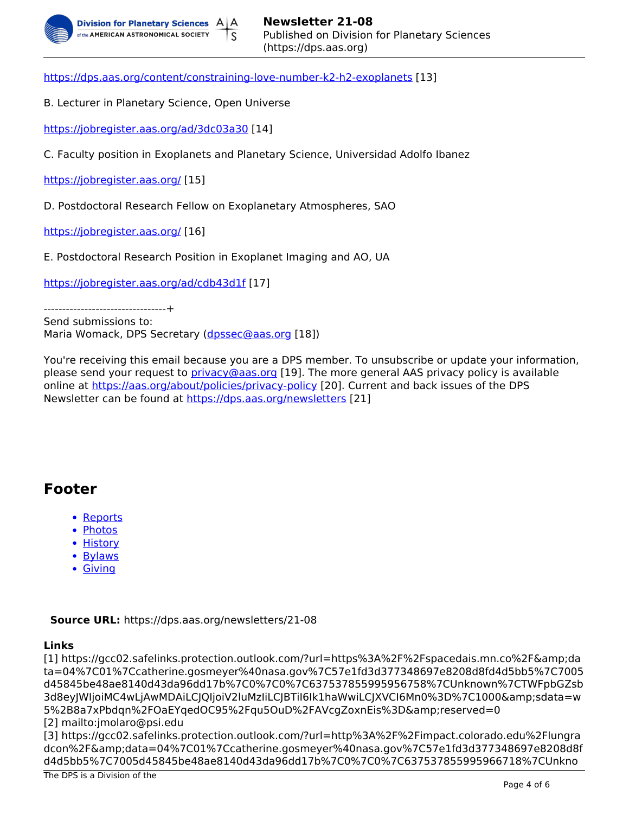

https://dps.aas.org/content/constraining-love-number-k2-h2-exoplanets [13]

B. Lecturer in Planetary Science, Open Universe

https://jobregister.aas.org/ad/3dc03a30 [14]

C. Faculty position in Exoplanets and Planetary Science, Universidad Adolfo Ibanez

https://jobregister.aas.org/ [15]

D. Postdoctoral Research Fellow on Exoplanetary Atmospheres, SAO

https://jobregister.aas.org/ [16]

E. Postdoctoral Research Position in Exoplanet Imaging and AO, UA

https://jobregister.aas.org/ad/cdb43d1f [17]

---------------------------------+

Send submissions to: Maria Womack, DPS Secretary (dpssec@aas.org [18])

You're receiving this email because you are a DPS member. To unsubscribe or update your information, please send your request to *privacy@aas.org* [19]. The more general AAS privacy policy is available online at https://aas.org/about/policies/privacy-policy [20]. Current and back issues of the DPS Newsletter can be found at https://dps.aas.org/newsletters [21]

## **Footer**

- Reports
- Photos
- History
- Bylaws
- Giving

**Source URL:** https://dps.aas.org/newsletters/21-08

#### **Links**

[1] https://gcc02.safelinks.protection.outlook.com/?url=https%3A%2F%2Fspacedais.mn.co%2F&da ta=04%7C01%7Ccatherine.gosmeyer%40nasa.gov%7C57e1fd3d377348697e8208d8fd4d5bb5%7C7005 d45845be48ae8140d43da96dd17b%7C0%7C0%7C637537855995956758%7CUnknown%7CTWFpbGZsb 3d8eyJWIjoiMC4wLjAwMDAiLCJQIjoiV2IuMzliLCJBTiI6Ik1haWwiLCJXVCI6Mn0%3D%7C1000&sdata=w 5%2B8a7xPbdgn%2FOaEYgedOC95%2Fgu5OuD%2FAVcgZoxnEis%3D&reserved=0 [2] mailto:jmolaro@psi.edu

[3] https://gcc02.safelinks.protection.outlook.com/?url=http%3A%2F%2Fimpact.colorado.edu%2Flungra dcon%2F&data=04%7C01%7Ccatherine.gosmeyer%40nasa.gov%7C57e1fd3d377348697e8208d8f d4d5bb5%7C7005d45845be48ae8140d43da96dd17b%7C0%7C0%7C637537855995966718%7CUnkno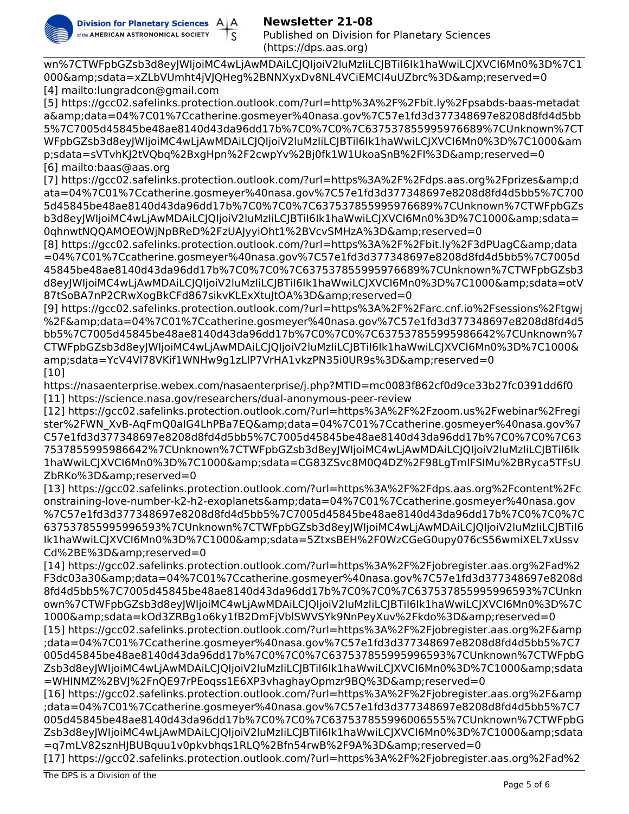

## **Newsletter 21-08**

Published on Division for Planetary Sciences (https://dps.aas.org)

wn%7CTWFpbGZsb3d8eyJWIjoiMC4wLjAwMDAiLCJQIjoiV2luMzIiLCJBTiI6Ik1haWwiLCJXVCI6Mn0%3D%7C1 000&sdata=xZLbVUmht4jVJQHeg%2BNNXyxDv8NL4VCiEMCI4uUZbrc%3D&reserved=0 [4] mailto:lungradcon@gmail.com

[5] https://gcc02.safelinks.protection.outlook.com/?url=http%3A%2F%2Fbit.ly%2Fpsabds-baas-metadat a&data=04%7C01%7Ccatherine.gosmeyer%40nasa.gov%7C57e1fd3d377348697e8208d8fd4d5bb 5%7C7005d45845be48ae8140d43da96dd17b%7C0%7C0%7C637537855995976689%7CUnknown%7CT WFpbGZsb3d8eyJWIjoiMC4wLjAwMDAiLCJQIjoiV2luMzIiLCJBTiI6Ik1haWwiLCJXVCI6Mn0%3D%7C1000&am p;sdata=sVTvhKJ2tVQbq%2BxgHpn%2F2cwpYv%2Bj0fk1W1UkoaSnB%2FI%3D&reserved=0 [6] mailto:baas@aas.org

[7] https://gcc02.safelinks.protection.outlook.com/?url=https%3A%2F%2Fdps.aas.org%2Fprizes&d ata=04%7C01%7Ccatherine.gosmeyer%40nasa.gov%7C57e1fd3d377348697e8208d8fd4d5bb5%7C700 5d45845be48ae8140d43da96dd17b%7C0%7C0%7C637537855995976689%7CUnknown%7CTWFpbGZs b3d8eyJWIjoiMC4wLjAwMDAiLCJQIjoiV2luMzIiLCJBTiI6Ik1haWwiLCJXVCI6Mn0%3D%7C1000&sdata= 0qhnwtNQQAMOEOWjNpBReD%2FzUAJyyiOht1%2BVcvSMHzA%3D&reserved=0

[8] https://gcc02.safelinks.protection.outlook.com/?url=https%3A%2F%2Fbit.ly%2F3dPUagC&data =04%7C01%7Ccatherine.gosmeyer%40nasa.gov%7C57e1fd3d377348697e8208d8fd4d5bb5%7C7005d 45845be48ae8140d43da96dd17b%7C0%7C0%7C637537855995976689%7CUnknown%7CTWFpbGZsb3 d8eyJWIjoiMC4wLjAwMDAiLCJQIjoiV2luMzIiLCJBTiI6Ik1haWwiLCJXVCI6Mn0%3D%7C1000&sdata=otV 87tSoBA7nP2CRwXogBkCFd867sikvKLExXtuJtOA%3D&reserved=0

[9] https://gcc02.safelinks.protection.outlook.com/?url=https%3A%2F%2Farc.cnf.io%2Fsessions%2Ftgwj %2F&data=04%7C01%7Ccatherine.gosmeyer%40nasa.gov%7C57e1fd3d377348697e8208d8fd4d5 bb5%7C7005d45845be48ae8140d43da96dd17b%7C0%7C0%7C637537855995986642%7CUnknown%7 CTWFpbGZsb3d8eyJWIjoiMC4wLjAwMDAiLCJQIjoiV2luMzIiLCJBTiI6Ik1haWwiLCJXVCI6Mn0%3D%7C1000& amp;sdata=YcV4Vl78VKif1WNHw9g1zLlP7VrHA1vkzPN35i0UR9s%3D&reserved=0 [10]

https://nasaenterprise.webex.com/nasaenterprise/j.php?MTID=mc0083f862cf0d9ce33b27fc0391dd6f0 [11] https://science.nasa.gov/researchers/dual-anonymous-peer-review

[12] https://gcc02.safelinks.protection.outlook.com/?url=https%3A%2F%2Fzoom.us%2Fwebinar%2Fregi ster%2FWN\_XvB-AqFmQ0aIG4LhPBa7EQ&data=04%7C01%7Ccatherine.gosmeyer%40nasa.gov%7 C57e1fd3d377348697e8208d8fd4d5bb5%7C7005d45845be48ae8140d43da96dd17b%7C0%7C0%7C63 7537855995986642%7CUnknown%7CTWFpbGZsb3d8eyJWIjoiMC4wLjAwMDAiLCJQIjoiV2luMzIiLCJBTiI6Ik 1haWwiLCJXVCI6Mn0%3D%7C1000&sdata=CG83ZSvc8M0Q4DZ%2F98LgTmlFSIMu%2BRyca5TFsU ZbRKo%3D&reserved=0

[13] https://gcc02.safelinks.protection.outlook.com/?url=https%3A%2F%2Fdps.aas.org%2Fcontent%2Fc onstraining-love-number-k2-h2-exoplanets&data=04%7C01%7Ccatherine.gosmeyer%40nasa.gov %7C57e1fd3d377348697e8208d8fd4d5bb5%7C7005d45845be48ae8140d43da96dd17b%7C0%7C0%7C 637537855995996593%7CUnknown%7CTWFpbGZsb3d8eyJWIjoiMC4wLjAwMDAiLCJQIjoiV2luMzIiLCJBTiI6 Ik1haWwiLCJXVCI6Mn0%3D%7C1000&sdata=5ZtxsBEH%2F0WzCGeG0upy076cS56wmiXEL7xUssv Cd%2BE%3D&reserved=0

[14] https://gcc02.safelinks.protection.outlook.com/?url=https%3A%2F%2Fjobregister.aas.org%2Fad%2 F3dc03a30&data=04%7C01%7Ccatherine.gosmeyer%40nasa.gov%7C57e1fd3d377348697e8208d 8fd4d5bb5%7C7005d45845be48ae8140d43da96dd17b%7C0%7C0%7C637537855995996593%7CUnkn own%7CTWFpbGZsb3d8eyJWIjoiMC4wLjAwMDAiLCJQIjoiV2luMzIiLCJBTiI6Ik1haWwiLCJXVCI6Mn0%3D%7C 1000&sdata=kOd3ZRBg1o6ky1fB2DmFjVblSWVSYk9NnPeyXuv%2Fkdo%3D&reserved=0 [15] https://gcc02.safelinks.protection.outlook.com/?url=https%3A%2F%2Fjobregister.aas.org%2F&amp ;data=04%7C01%7Ccatherine.gosmeyer%40nasa.gov%7C57e1fd3d377348697e8208d8fd4d5bb5%7C7 005d45845be48ae8140d43da96dd17b%7C0%7C0%7C637537855995996593%7CUnknown%7CTWFpbG Zsb3d8eyJWIjoiMC4wLjAwMDAiLCJQIjoiV2IuMzIiLCJBTiI6Ik1haWwiLCJXVCI6Mn0%3D%7C1000&sdata =WHINMZ%2BVJ%2FnQE97rPEoqss1E6XP3vhaghayOpmzr9BQ%3D&reserved=0

[16] https://gcc02.safelinks.protection.outlook.com/?url=https%3A%2F%2Fjobregister.aas.org%2F&amp ;data=04%7C01%7Ccatherine.gosmeyer%40nasa.gov%7C57e1fd3d377348697e8208d8fd4d5bb5%7C7 005d45845be48ae8140d43da96dd17b%7C0%7C0%7C637537855996006555%7CUnknown%7CTWFpbG Zsb3d8eyJWIjoiMC4wLjAwMDAiLCJQIjoiV2IuMzIiLCJBTiI6Ik1haWwiLCJXVCI6Mn0%3D%7C1000&sdata =q7mLV82sznHJBUBquu1v0pkvbhqs1RLQ%2Bfn54rwB%2F9A%3D&reserved=0

[17] https://gcc02.safelinks.protection.outlook.com/?url=https%3A%2F%2Fjobregister.aas.org%2Fad%2